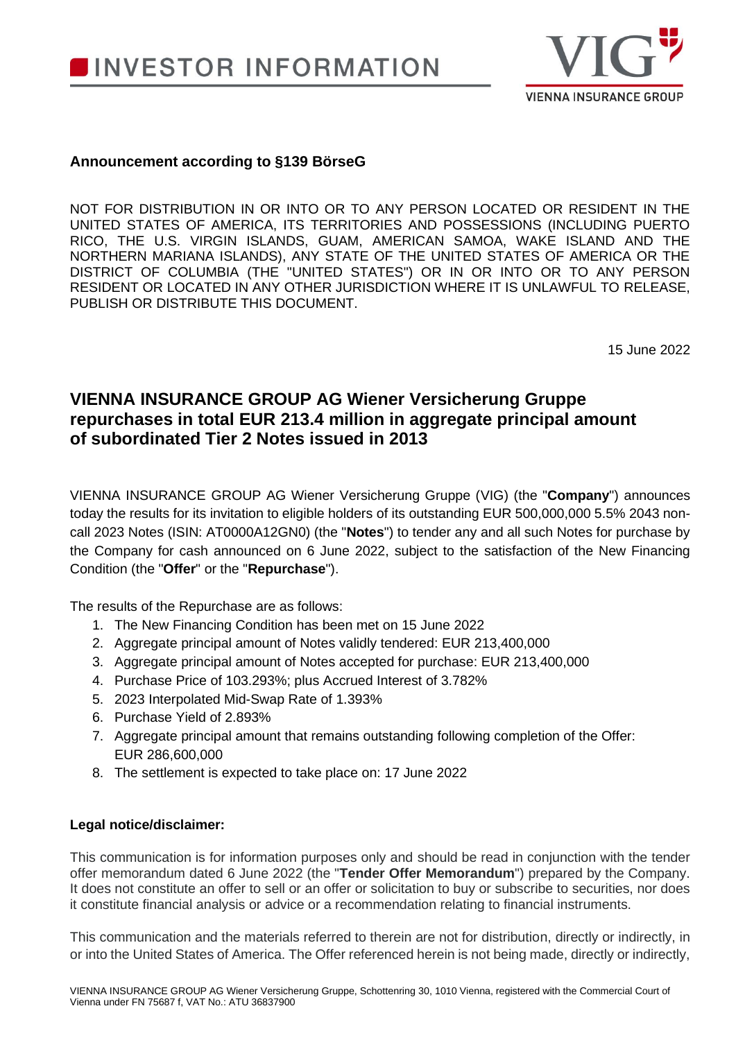

## **Announcement according to §139 BörseG**

NOT FOR DISTRIBUTION IN OR INTO OR TO ANY PERSON LOCATED OR RESIDENT IN THE UNITED STATES OF AMERICA, ITS TERRITORIES AND POSSESSIONS (INCLUDING PUERTO RICO, THE U.S. VIRGIN ISLANDS, GUAM, AMERICAN SAMOA, WAKE ISLAND AND THE NORTHERN MARIANA ISLANDS), ANY STATE OF THE UNITED STATES OF AMERICA OR THE DISTRICT OF COLUMBIA (THE "UNITED STATES") OR IN OR INTO OR TO ANY PERSON RESIDENT OR LOCATED IN ANY OTHER JURISDICTION WHERE IT IS UNLAWFUL TO RELEASE, PUBLISH OR DISTRIBUTE THIS DOCUMENT.

15 June 2022

## **VIENNA INSURANCE GROUP AG Wiener Versicherung Gruppe repurchases in total EUR 213.4 million in aggregate principal amount of subordinated Tier 2 Notes issued in 2013**

VIENNA INSURANCE GROUP AG Wiener Versicherung Gruppe (VIG) (the "**Company**") announces today the results for its invitation to eligible holders of its outstanding EUR 500,000,000 5.5% 2043 noncall 2023 Notes (ISIN: AT0000A12GN0) (the "**Notes**") to tender any and all such Notes for purchase by the Company for cash announced on 6 June 2022, subject to the satisfaction of the New Financing Condition (the "**Offer**" or the "**Repurchase**").

The results of the Repurchase are as follows:

- 1. The New Financing Condition has been met on 15 June 2022
- 2. Aggregate principal amount of Notes validly tendered: EUR 213,400,000
- 3. Aggregate principal amount of Notes accepted for purchase: EUR 213,400,000
- 4. Purchase Price of 103.293%; plus Accrued Interest of 3.782%
- 5. 2023 Interpolated Mid-Swap Rate of 1.393%
- 6. Purchase Yield of 2.893%
- 7. Aggregate principal amount that remains outstanding following completion of the Offer: EUR 286,600,000
- 8. The settlement is expected to take place on: 17 June 2022

## **Legal notice/disclaimer:**

This communication is for information purposes only and should be read in conjunction with the tender offer memorandum dated 6 June 2022 (the "**Tender Offer Memorandum**") prepared by the Company. It does not constitute an offer to sell or an offer or solicitation to buy or subscribe to securities, nor does it constitute financial analysis or advice or a recommendation relating to financial instruments.

This communication and the materials referred to therein are not for distribution, directly or indirectly, in or into the United States of America. The Offer referenced herein is not being made, directly or indirectly,